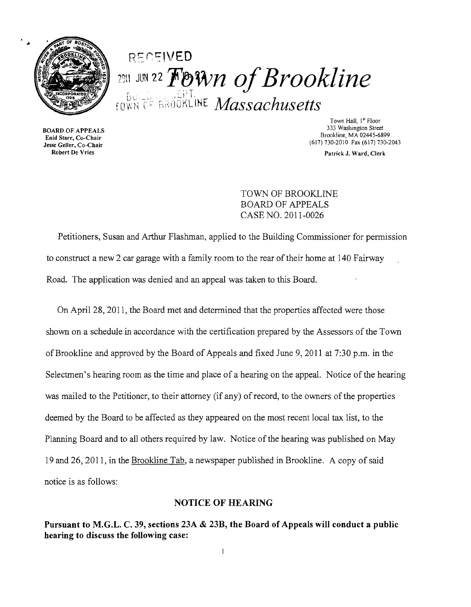

# RECEIVED 2911 JUN 22 FOWn of Brookline  $_{\rm{TOWN}}$ ise Brookline *Massachusetts*

**BOARD OF APPEALS**<br>Enid Starr, Co-Chair Eind Start, Co-Chair<br>
Jesse Geller, Co-Chair<br>
Robert De Vries Patrick J Ward Clerk

Town Hall, 1<sup>st</sup> Floor<br>333 Washington Street Brookline, MA 02445-6899

Patrick J. Ward, Clerk

TOWN OF BROOKLINE BOARD OF APPEALS CASE NO. 2011-0026

Petitioners, Susan and Arthur Flashman, applied to the Building Commissioner for permission to construct a new 2 car garage with a family room to the rear of their home at 140 Fairway Road. The application was denied and an appeal was taken to this Board.

On April 28, 2011, the Board met and determined that the properties affected were those shown on a schedule in accordance with the certification prepared by the Assessors of the Town ofBrookline and approved by the Board of Appeals and fixed June 9, 2011 at 7:30 p.m. in the Selectmen's hearing room as the time and place of a hearing on the appeal. Notice of the hearing was mailed to the Petitioner, to their attorney (if any) of record, to the owners of the properties deemed by the Board to be affected as they appeared on the most recent local tax list, to the Planning Board and to all others required by law. Notice of the hearing was published on May 19 and 26, 2011, in the Brookline Tab, a newspaper published in Brookline. A copy of said notice is as follows:

#### NOTICE OF HEARING

Pursuant to M.G.L. C. 39, sections 23A & 23B, the Board of Appeals will conduct a public hearing to discuss the following case: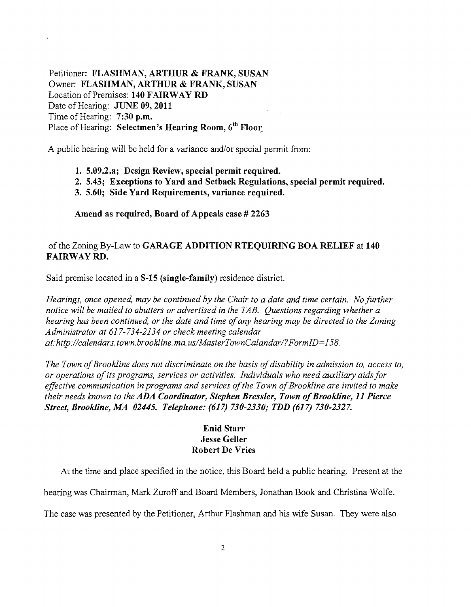Petitioner: FLASHMAN, ARTHUR & FRANK, SUSAN Owner: FLASHMAN, ARTHUR & FRANK, SUSAN Location of Premises: 140 FAIRWAY RD Date of Hearing: **JUNE 09, 2011** Time of Hearing: 7:30 p.m. Place of Hearing: Selectmen's Hearing Room, 6<sup>th</sup> Floor

A public hearing will be held for a variance and/or special permit from:

- 1. 5.09.2.a; Design Review, special permit required.
- 2. 5.43; Exceptions to Yard and Setback Regulations, special permit required.
- 3. 5.60; Side Yard Requirements, variance required.

Amend as required, Board of Appeals case # 2263

## ofthe Zoning By-Law to GARAGE ADDITION RTEQUIRING BOA RELIEF at 140 FAIRWAY RD.

Said premise located in a S-15 (single-family) residence district.

*Hearings, once opened, may be continued by the Chair to a date and time certain. No further notice will be mailed to abutters or advertised in the TAB. Questions regarding whether a hearing has been continued, or the date and time ofany hearing may be directed to the Zoning Administrator at* 617-734-2134 *or check meeting calendar at:http://calendars.town.brookline.ma.usIMasterTownCalandarl?FormID=158.* 

The Town of Brookline does not discriminate on the basis of disability in admission to, access to, *or operations ofits programs, services or activities. Individuals who need auxiliary aidsfor*  effective communication in programs and services of the Town of Brookline are invited to make *their needs known to the ADA Coordinator, Stephen Bressler, Town ofBrookline,* 11 *Pierce Street, Brookline, MA 02445. Telephone:* (617) *730-2330; TDD* (617) *730-2327.* 

#### Enid Starr Jesse Geller Robert De Vries

At the time and place specified in the notice, this Board held a public hearing. Present at the

hearing was Chairman, Mark Zuroff and Board Members, Jonathan Book and Christina Wolfe.

The case was presented by the Petitioner, Arthur Flashman and his wife Susan. They were also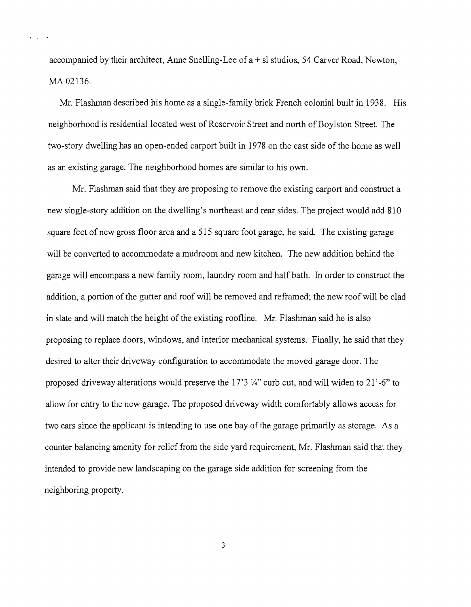accompanied by their architect, Anne Snelling-Lee of  $a + s$  studios, 54 Carver Road, Newton, MA 02136.

Mr. Flashman described his home as a single-family brick French colonial built in 1938. His neighborhood is residential located west of Reservoir Street and north of Boylston Street. The two-story dwelling has an open-ended carport built in 1978 on the east side of the home as well as an existing garage. The neighborhood homes are similar to his own.

Mr. Flashman said that they are proposing to remove the existing carport and construct a new single-story addition on the dwelling's northeast and rear sides. The project would add 810 square feet of new gross floor area and a 515 square foot garage, he said. The existing garage will be converted to accommodate a mudroom and new kitchen. The new addition behind the garage will encompass a new family room, laundry room and half bath. In order to construct the addition, a portion of the gutter and roof will be removed and reframed; the new roof will be clad in slate and will match the height of the existing roofline. Mr. Flashman said he is also proposing to replace doors, windows, and interior mechanical systems. Finally, he said that they desired to alter their driveway configuration to accommodate the moved garage door. The proposed driveway alterations would preserve the  $17'3$  %" curb cut, and will widen to  $21'$ -6" to allow for entry to the new garage. The proposed driveway width comfortably allows access for two cars since the applicant is intending to use one bay of the garage primarily as storage. As a counter balancing amenity for relief from the side yard requirement, Mr. Flashman said that they intended to provide new landscaping on the garage side addition for screening from the neighboring property.

3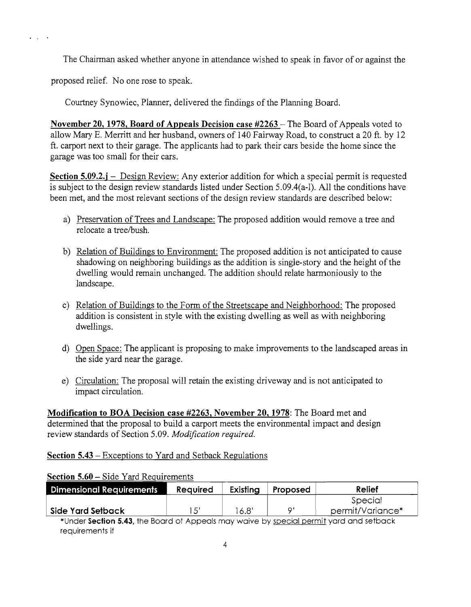The Chairman asked whether anyone in attendance wished to speak in favor of or against the

proposed relief. No one rose to speak.

. , .

Courtney Synowiec, Planner, delivered the findings of the Planning Board.

**November 20, 1978, Board of Appeals Decision case #2263 – The Board of Appeals voted to** allow Mary E. Merritt and her husband, owners of 140 Fairway Road, to construct a 20 ft. by 12 ft. carport next to their garage. The applicants had to park their cars beside the home since the garage was too small for their cars.

**Section 5.09.2.j** – Design Review: Any exterior addition for which a special permit is requested is subject to the design review standards listed under Section 5.09.4(a-l). All the conditions have been met, and the most relevant sections of the design review standards are described below:

- a) Preservation of Trees and Landscape: The proposed addition would remove a tree and relocate a tree/bush.
- b) Relation of Buildings to Environment: The proposed addition is not anticipated to cause shadowing on neighboring buildings as the addition is single-story and the height of the dwelling would remain unchanged. The addition should relate harmoniously to the landscape.
- c) Relation of Buildings to the Form of the Streetscape and Neighborhood: The proposed addition is consistent in style with the existing dwelling as well as with neighboring dwellings.
- d) Open Space: The applicant is proposing to make improvements to the landscaped areas in the side yard near the garage.
- e) Circulation: The proposal will retain the existing driveway and is not anticipated to impact circulation.

**Modification to BOA Decision case #2263, November 20,1978:** The Board met and determined that the proposal to build a carport meets the environmental impact and design review standards of Section 5.09. *Modification required.* 

## **Section 5.43** - Exceptions to Yard and Setback Regulations

### **Section 5.60 –** Side Yard Requirements

| <b>Dimensional Requirements</b> | Reauired | Existina | Proposed | Relief           |
|---------------------------------|----------|----------|----------|------------------|
|                                 |          |          |          | Special          |
| Side Yard Setback               |          | 6.8      | C.       | permit/Variance* |
| $-$                             |          |          |          | . .              |

\*Under **Section 5.43,** the Board of Appeals may waive by special permit yard and setback requirements if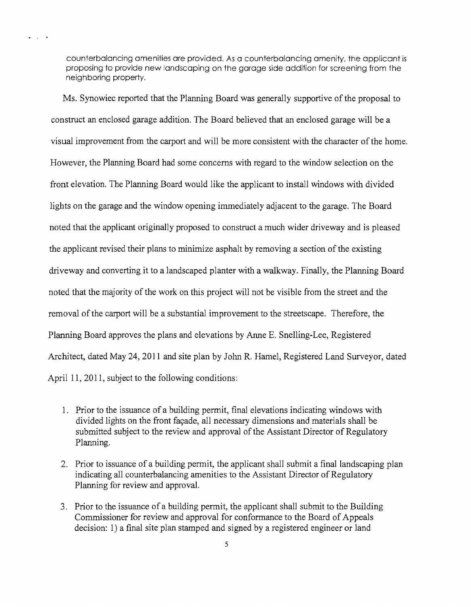counterbalancing amenities are provided. As a counterbalancing amenity, the applicant is proposing to provide new landscaping on the garage side addition for screening from the neighboring property.

· , .

Ms. Synowiec reported that the Planning Board was generally supportive of the proposal to construct an enclosed garage addition. The Board believed that an enclosed garage will be a visual improvement from the carport and will be more consistent with the character of the home. However, the Planning Board had some concerns with regard to the window selection on the front elevation. The Planning Board would like the applicant to install windows with divided lights on the garage and the window opening immediately adjacent to the garage. The Board noted that the applicant originally proposed to construct a much wider driveway and is pleased the applicant revised their plans to minimize asphalt by removing a section of the existing driveway and converting it to a landscaped planter with a walkway. Finally, the Planning Board noted that the majority of the work on this project will not be visible from the street and the removal of the carport will be a substantial improvement to the streetscape. Therefore, the Planning Board approves the plans and elevations by Anne E. Snelling-Lee, Registered Architect, dated May 24, 2011 and site plan by Jolm R. Hamel, Registered Land Surveyor, dated April 11, 2011, subject to the following conditions:

- 1. Prior to the issuance of a building permit, final elevations indicating windows with divided lights on the front fayade, all necessary dimensions and materials shall be submitted subject to the review and approval of the Assistant Director of Regulatory Planning.
- 2. Prior to issuance of a building permit, the applicant shall submit a final landscaping plan indicating all counterbalancing amenities to the Assistant Director of Regulatory Planning for review and approval.
- 3. Prior to the issuance of a building permit, the applicant shall submit to the Building Commissioner for review and approval for conformance to the Board of Appeals decision: 1) a final site plan stamped and signed by a registered engineer or land